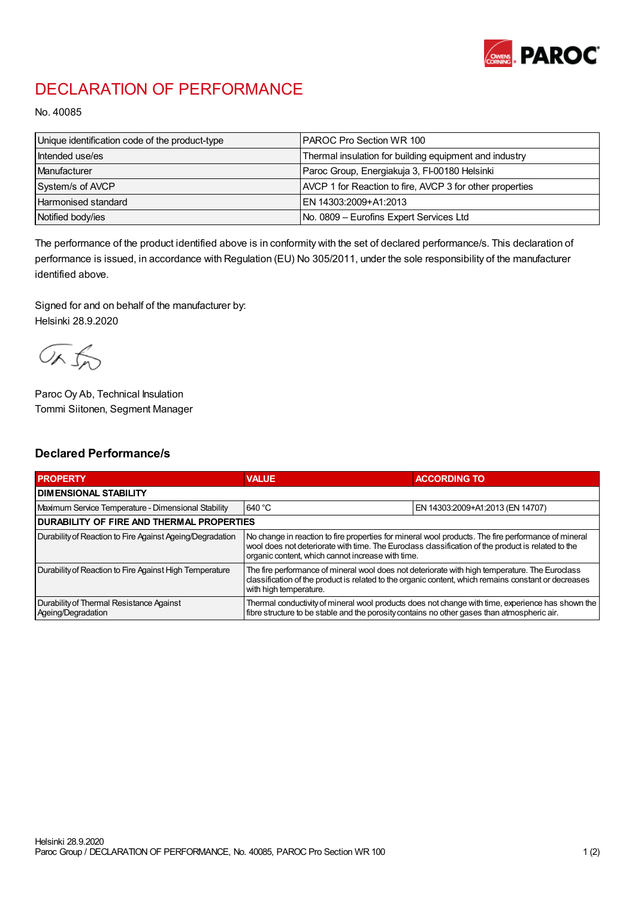

## DECLARATION OF PERFORMANCE

No. 40085

| Unique identification code of the product-type | I PAROC Pro Section WR 100                               |
|------------------------------------------------|----------------------------------------------------------|
| Intended use/es                                | Thermal insulation for building equipment and industry   |
| Manufacturer                                   | Paroc Group, Energiakuja 3, FI-00180 Helsinki            |
| System/s of AVCP                               | AVCP 1 for Reaction to fire, AVCP 3 for other properties |
| <b>Harmonised standard</b>                     | EN 14303:2009+A1:2013                                    |
| Notified body/ies                              | No. 0809 – Eurofins Expert Services Ltd                  |

The performance of the product identified above is in conformity with the set of declared performance/s. This declaration of performance is issued, in accordance with Regulation (EU) No 305/2011, under the sole responsibility of the manufacturer identified above.

Signed for and on behalf of the manufacturer by: Helsinki 28.9.2020

ORJO

Paroc Oy Ab, Technical Insulation Tommi Siitonen, Segment Manager

## Declared Performance/s

| <b>PROPERTY</b>                                                | <b>VALUE</b>                                                                                                                                                                                                                                                   | <b>ACCORDING TO</b>              |  |
|----------------------------------------------------------------|----------------------------------------------------------------------------------------------------------------------------------------------------------------------------------------------------------------------------------------------------------------|----------------------------------|--|
| <b>I DIMENSIONAL STABILITY</b>                                 |                                                                                                                                                                                                                                                                |                                  |  |
| Maximum Service Temperature - Dimensional Stability            | 640 °C                                                                                                                                                                                                                                                         | EN 14303:2009+A1:2013 (EN 14707) |  |
| <b>DURABILITY OF FIRE AND THERMAL PROPERTIES</b>               |                                                                                                                                                                                                                                                                |                                  |  |
| Durability of Reaction to Fire Against Ageing/Degradation      | No change in reaction to fire properties for mineral wool products. The fire performance of mineral<br>wool does not deteriorate with time. The Euroclass classification of the product is related to the<br>organic content, which cannot increase with time. |                                  |  |
| Durability of Reaction to Fire Against High Temperature        | The fire performance of mineral wool does not deteriorate with high temperature. The Euroclass<br>classification of the product is related to the organic content, which remains constant or decreases<br>with high temperature.                               |                                  |  |
| Durability of Thermal Resistance Against<br>Ageing/Degradation | Thermal conductivity of mineral wool products does not change with time, experience has shown the<br>fibre structure to be stable and the porosity contains no other gases than atmospheric air.                                                               |                                  |  |